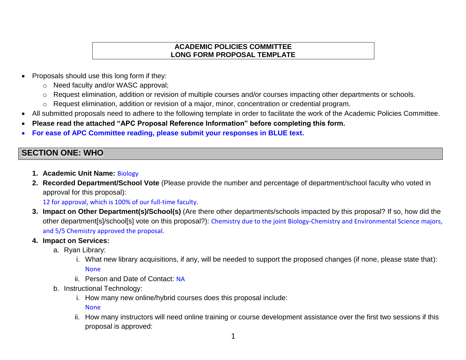### **ACADEMIC POLICIES COMMITTEE LONG FORM PROPOSAL TEMPLATE**

- Proposals should use this long form if they:
	- o Need faculty and/or WASC approval;
	- o Request elimination, addition or revision of multiple courses and/or courses impacting other departments or schools.
	- o Request elimination, addition or revision of a major, minor, concentration or credential program.
- All submitted proposals need to adhere to the following template in order to facilitate the work of the Academic Policies Committee.
- **Please read the attached "APC Proposal Reference Information" before completing this form.**
- **For ease of APC Committee reading, please submit your responses in BLUE text.**

# **SECTION ONE: WHO**

- **1. Academic Unit Name:** Biology
- **2. Recorded Department/School Vote** (Please provide the number and percentage of department/school faculty who voted in approval for this proposal):

12 for approval, which is 100% of our full-time faculty.

- **3. Impact on Other Department(s)/School(s)** (Are there other departments/schools impacted by this proposal? If so, how did the other department[s]/school[s] vote on this proposal?): Chemistry due to the joint Biology-Chemistry and Environmental Science majors, and 5/5 Chemistry approved the proposal.
- **4. Impact on Services:**
	- a. Ryan Library:
		- i. What new library acquisitions, if any, will be needed to support the proposed changes (if none, please state that): None
		- ii. Person and Date of Contact: NA
	- b. Instructional Technology:
		- i. How many new online/hybrid courses does this proposal include:

None

ii. How many instructors will need online training or course development assistance over the first two sessions if this proposal is approved: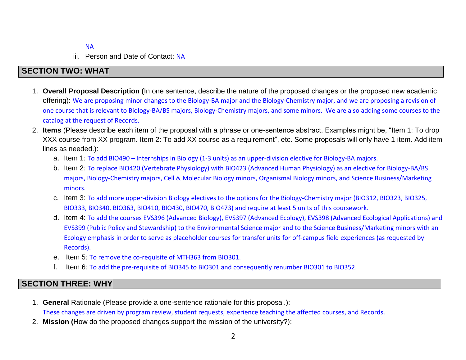### NA

iii. Person and Date of Contact: NA

## **SECTION TWO: WHAT**

- 1. **Overall Proposal Description (**In one sentence, describe the nature of the proposed changes or the proposed new academic offering): We are proposing minor changes to the Biology-BA major and the Biology-Chemistry major, and we are proposing a revision of one course that is relevant to Biology-BA/BS majors, Biology-Chemistry majors, and some minors. We are also adding some courses to the catalog at the request of Records.
- 2. **Items** (Please describe each item of the proposal with a phrase or one-sentence abstract. Examples might be, "Item 1: To drop XXX course from XX program. Item 2: To add XX course as a requirement", etc. Some proposals will only have 1 item. Add item lines as needed.):
	- a. Item 1: To add BIO490 Internships in Biology (1-3 units) as an upper-division elective for Biology-BA majors.
	- b. Item 2: To replace BIO420 (Vertebrate Physiology) with BIO423 (Advanced Human Physiology) as an elective for Biology-BA/BS majors, Biology-Chemistry majors, Cell & Molecular Biology minors, Organismal Biology minors, and Science Business/Marketing minors.
	- c. Item 3: To add more upper-division Biology electives to the options for the Biology-Chemistry major (BIO312, BIO323, BIO325, BIO333, BIO340, BIO363, BIO410, BIO430, BIO470, BIO473) and require at least 5 units of this coursework.
	- d. Item 4: To add the courses EVS396 (Advanced Biology), EVS397 (Advanced Ecology), EVS398 (Advanced Ecological Applications) and EVS399 (Public Policy and Stewardship) to the Environmental Science major and to the Science Business/Marketing minors with an Ecology emphasis in order to serve as placeholder courses for transfer units for off-campus field experiences (as requested by Records).
	- e. Item 5: To remove the co-requisite of MTH363 from BIO301.
	- f. Item 6: To add the pre-requisite of BIO345 to BIO301 and consequently renumber BIO301 to BIO352.

## **SECTION THREE: WHY**

- 1. **General** Rationale (Please provide a one-sentence rationale for this proposal.): These changes are driven by program review, student requests, experience teaching the affected courses, and Records.
- 2. **Mission (**How do the proposed changes support the mission of the university?):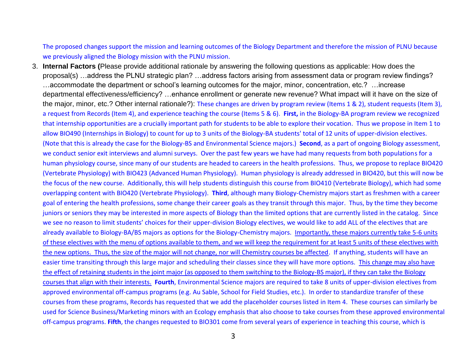The proposed changes support the mission and learning outcomes of the Biology Department and therefore the mission of PLNU because we previously aligned the Biology mission with the PLNU mission.

3. **Internal Factors (**Please provide additional rationale by answering the following questions as applicable: How does the proposal(s) …address the PLNU strategic plan? …address factors arising from assessment data or program review findings? …accommodate the department or school's learning outcomes for the major, minor, concentration, etc.? …increase departmental effectiveness/efficiency? …enhance enrollment or generate new revenue? What impact will it have on the size of the major, minor, etc.? Other internal rationale?): These changes are driven by program review (Items 1 & 2), student requests (Item 3), a request from Records (Item 4), and experience teaching the course (Items 5 & 6). **First,** in the Biology-BA program review we recognized that internship opportunities are a crucially important path for students to be able to explore their vocation. Thus we propose in Item 1 to allow BIO490 (Internships in Biology) to count for up to 3 units of the Biology-BA students' total of 12 units of upper-division electives. (Note that this is already the case for the Biology-BS and Environmental Science majors.) **Second**, as a part of ongoing Biology assessment, we conduct senior exit interviews and alumni surveys. Over the past few years we have had many requests from both populations for a human physiology course, since many of our students are headed to careers in the health professions. Thus, we propose to replace BIO420 (Vertebrate Physiology) with BIO423 (Advanced Human Physiology). Human physiology is already addressed in BIO420, but this will now be the focus of the new course. Additionally, this will help students distinguish this course from BIO410 (Vertebrate Biology), which had some overlapping content with BIO420 (Vertebrate Physiology). **Third**, although many Biology-Chemistry majors start as freshmen with a career goal of entering the health professions, some change their career goals as they transit through this major. Thus, by the time they become juniors or seniors they may be interested in more aspects of Biology than the limited options that are currently listed in the catalog. Since we see no reason to limit students' choices for their upper-division Biology electives, we would like to add ALL of the electives that are already available to Biology-BA/BS majors as options for the Biology-Chemistry majors. Importantly, these majors currently take 5-6 units of these electives with the menu of options available to them, and we will keep the requirement for at least 5 units of these electives with the new options. Thus, the size of the major will not change, nor will Chemistry courses be affected. If anything, students will have an easier time transiting through this large major and scheduling their classes since they will have more options. This change may also have the effect of retaining students in the joint major (as opposed to them switching to the Biology-BS major), if they can take the Biology courses that align with their interests. **Fourth**, Environmental Science majors are required to take 8 units of upper-division electives from approved environmental off-campus programs (e.g. Au Sable, School for Field Studies, etc.). In order to standardize transfer of these courses from these programs, Records has requested that we add the placeholder courses listed in Item 4. These courses can similarly be used for Science Business/Marketing minors with an Ecology emphasis that also choose to take courses from these approved environmental off-campus programs. **Fifth**, the changes requested to BIO301 come from several years of experience in teaching this course, which is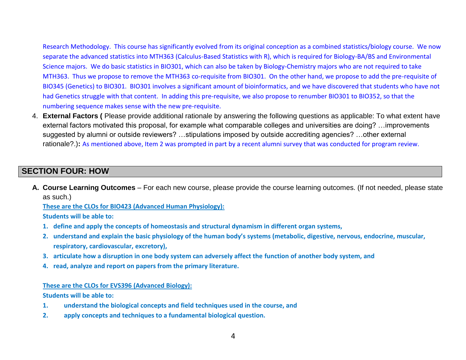Research Methodology. This course has significantly evolved from its original conception as a combined statistics/biology course. We now separate the advanced statistics into MTH363 (Calculus-Based Statistics with R), which is required for Biology-BA/BS and Environmental Science majors. We do basic statistics in BIO301, which can also be taken by Biology-Chemistry majors who are not required to take MTH363. Thus we propose to remove the MTH363 co-requisite from BIO301. On the other hand, we propose to add the pre-requisite of BIO345 (Genetics) to BIO301. BIO301 involves a significant amount of bioinformatics, and we have discovered that students who have not had Genetics struggle with that content. In adding this pre-requisite, we also propose to renumber BIO301 to BIO352, so that the numbering sequence makes sense with the new pre-requisite.

4. **External Factors (** Please provide additional rationale by answering the following questions as applicable: To what extent have external factors motivated this proposal, for example what comparable colleges and universities are doing? …improvements suggested by alumni or outside reviewers? …stipulations imposed by outside accrediting agencies? …other external rationale?.)**:** As mentioned above, Item 2 was prompted in part by a recent alumni survey that was conducted for program review.

## **SECTION FOUR: HOW**

**A. Course Learning Outcomes** – For each new course, please provide the course learning outcomes. (If not needed, please state as such.)

**These are the CLOs for BIO423 (Advanced Human Physiology):**

**Students will be able to:**

- **1. define and apply the concepts of homeostasis and structural dynamism in different organ systems,**
- **2. understand and explain the basic physiology of the human body's systems (metabolic, digestive, nervous, endocrine, muscular, respiratory, cardiovascular, excretory),**
- **3. articulate how a disruption in one body system can adversely affect the function of another body system, and**
- **4. read, analyze and report on papers from the primary literature.**

#### **These are the CLOs for EVS396 (Advanced Biology):**

**Students will be able to:**

- **1. understand the biological concepts and field techniques used in the course, and**
- **2. apply concepts and techniques to a fundamental biological question.**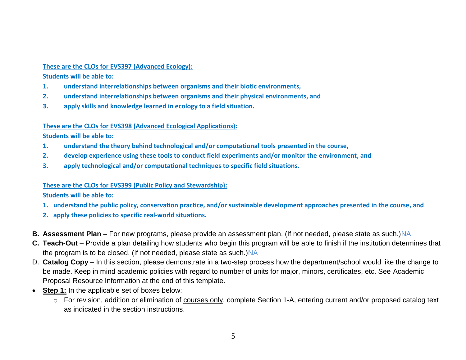### **These are the CLOs for EVS397 (Advanced Ecology):**

**Students will be able to:**

- **1. understand interrelationships between organisms and their biotic environments,**
- **2. understand interrelationships between organisms and their physical environments, and**
- **3. apply skills and knowledge learned in ecology to a field situation.**

### **These are the CLOs for EVS398 (Advanced Ecological Applications):**

**Students will be able to:**

- **1. understand the theory behind technological and/or computational tools presented in the course,**
- **2. develop experience using these tools to conduct field experiments and/or monitor the environment, and**
- **3. apply technological and/or computational techniques to specific field situations.**

### **These are the CLOs for EVS399 (Public Policy and Stewardship):**

**Students will be able to:**

- **1. understand the public policy, conservation practice, and/or sustainable development approaches presented in the course, and**
- **2. apply these policies to specific real-world situations.**
- **B.** Assessment Plan For new programs, please provide an assessment plan. (If not needed, please state as such.)NA
- **C. Teach-Out** Provide a plan detailing how students who begin this program will be able to finish if the institution determines that the program is to be closed. (If not needed, please state as such.) NA
- D. **Catalog Copy** In this section, please demonstrate in a two-step process how the department/school would like the change to be made. Keep in mind academic policies with regard to number of units for major, minors, certificates, etc. See Academic Proposal Resource Information at the end of this template.
- **Step 1:** In the applicable set of boxes below:
	- o For revision, addition or elimination of courses only, complete Section 1-A, entering current and/or proposed catalog text as indicated in the section instructions.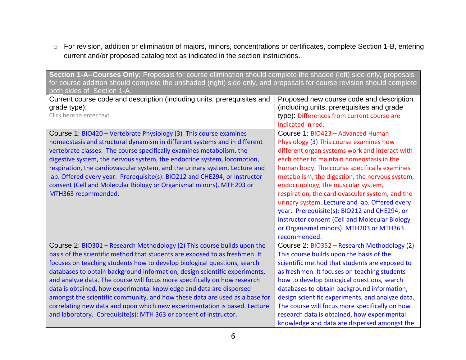o For revision, addition or elimination of majors, minors, concentrations or certificates, complete Section 1-B, entering current and/or proposed catalog text as indicated in the section instructions.

| Section 1-A--Courses Only: Proposals for course elimination should complete the shaded (left) side only, proposals<br>for course addition should complete the unshaded (right) side only, and proposals for course revision should complete<br>both sides of Section 1-A.                                                                                                                                                                                                                                                                                                                                                                                                                             |                                                                                                                                                                                                                                                                                                                                                                                                                                                                                                                                                                                        |  |
|-------------------------------------------------------------------------------------------------------------------------------------------------------------------------------------------------------------------------------------------------------------------------------------------------------------------------------------------------------------------------------------------------------------------------------------------------------------------------------------------------------------------------------------------------------------------------------------------------------------------------------------------------------------------------------------------------------|----------------------------------------------------------------------------------------------------------------------------------------------------------------------------------------------------------------------------------------------------------------------------------------------------------------------------------------------------------------------------------------------------------------------------------------------------------------------------------------------------------------------------------------------------------------------------------------|--|
| Current course code and description (including units, prerequisites and<br>grade type):<br>Click here to enter text.                                                                                                                                                                                                                                                                                                                                                                                                                                                                                                                                                                                  | Proposed new course code and description<br>(including units, prerequisites and grade<br>type): Differences from current course are<br>indicated in red.                                                                                                                                                                                                                                                                                                                                                                                                                               |  |
| Course 1: BIO420 - Vertebrate Physiology (3) This course examines<br>homeostasis and structural dynamism in different systems and in different<br>vertebrate classes. The course specifically examines metabolism, the<br>digestive system, the nervous system, the endocrine system, locomotion,<br>respiration, the cardiovascular system, and the urinary system. Lecture and<br>lab. Offered every year. Prerequisite(s): BIO212 and CHE294, or instructor<br>consent (Cell and Molecular Biology or Organismal minors). MTH203 or<br>MTH363 recommended.                                                                                                                                         | Course 1: BIO423 - Advanced Human<br>Physiology (3) This course examines how<br>different organ systems work and interact with<br>each other to maintain homeostasis in the<br>human body. The course specifically examines<br>metabolism, the digestion, the nervous system,<br>endocrinology, the muscular system,<br>respiration, the cardiovascular system, and the<br>urinary system. Lecture and lab. Offered every<br>year. Prerequisite(s): BIO212 and CHE294, or<br>instructor consent (Cell and Molecular Biology<br>or Organismal minors). MTH203 or MTH363<br>recommended. |  |
| Course 2: BIO301 - Research Methodology (2) This course builds upon the<br>basis of the scientific method that students are exposed to as freshmen. It<br>focuses on teaching students how to develop biological questions, search<br>databases to obtain background information, design scientific experiments,<br>and analyze data. The course will focus more specifically on how research<br>data is obtained, how experimental knowledge and data are dispersed<br>amongst the scientific community, and how these data are used as a base for<br>correlating new data and upon which new experimentation is based. Lecture<br>and laboratory. Corequisite(s): MTH 363 or consent of instructor. | Course 2: BIO352 - Research Methodology (2)<br>This course builds upon the basis of the<br>scientific method that students are exposed to<br>as freshmen. It focuses on teaching students<br>how to develop biological questions, search<br>databases to obtain background information,<br>design scientific experiments, and analyze data.<br>The course will focus more specifically on how<br>research data is obtained, how experimental<br>knowledge and data are dispersed amongst the                                                                                           |  |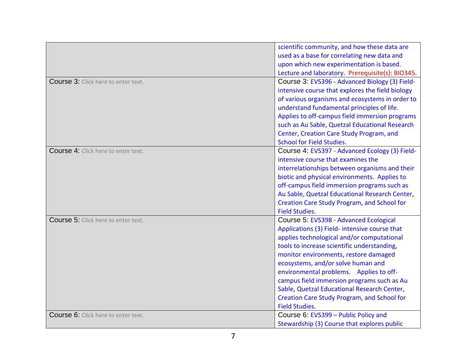|                                     | scientific community, and how these data are       |
|-------------------------------------|----------------------------------------------------|
|                                     | used as a base for correlating new data and        |
|                                     | upon which new experimentation is based.           |
|                                     | Lecture and laboratory. Prerequisite(s): BIO345.   |
| Course 3: Click here to enter text. | Course 3: EVS396 - Advanced Biology (3) Field-     |
|                                     | intensive course that explores the field biology   |
|                                     | of various organisms and ecosystems in order to    |
|                                     | understand fundamental principles of life.         |
|                                     | Applies to off-campus field immersion programs     |
|                                     | such as Au Sable, Quetzal Educational Research     |
|                                     | Center, Creation Care Study Program, and           |
|                                     | <b>School for Field Studies.</b>                   |
| Course 4: Click here to enter text. | Course 4: EVS397 - Advanced Ecology (3) Field-     |
|                                     | intensive course that examines the                 |
|                                     | interrelationships between organisms and their     |
|                                     | biotic and physical environments. Applies to       |
|                                     | off-campus field immersion programs such as        |
|                                     | Au Sable, Quetzal Educational Research Center,     |
|                                     | <b>Creation Care Study Program, and School for</b> |
|                                     | <b>Field Studies.</b>                              |
| Course 5: Click here to enter text. | Course 5: EVS398 - Advanced Ecological             |
|                                     | Applications (3) Field- intensive course that      |
|                                     | applies technological and/or computational         |
|                                     | tools to increase scientific understanding,        |
|                                     | monitor environments, restore damaged              |
|                                     | ecosystems, and/or solve human and                 |
|                                     | environmental problems. Applies to off-            |
|                                     | campus field immersion programs such as Au         |
|                                     | Sable, Quetzal Educational Research Center,        |
|                                     | Creation Care Study Program, and School for        |
|                                     | <b>Field Studies.</b>                              |
| Course 6: Click here to enter text. | Course 6: EVS399 - Public Policy and               |
|                                     | Stewardship (3) Course that explores public        |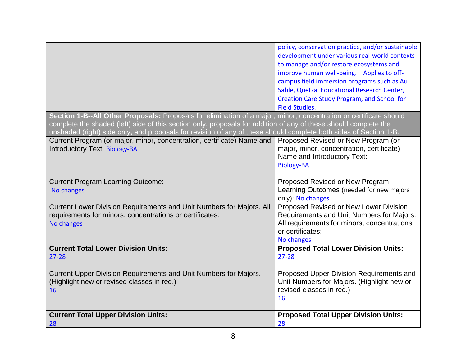|                                                                                                                                                                                                                                                                                                                                                             | policy, conservation practice, and/or sustainable<br>development under various real-world contexts<br>to manage and/or restore ecosystems and<br>improve human well-being. Applies to off-<br>campus field immersion programs such as Au<br>Sable, Quetzal Educational Research Center,<br>Creation Care Study Program, and School for<br><b>Field Studies.</b> |  |
|-------------------------------------------------------------------------------------------------------------------------------------------------------------------------------------------------------------------------------------------------------------------------------------------------------------------------------------------------------------|-----------------------------------------------------------------------------------------------------------------------------------------------------------------------------------------------------------------------------------------------------------------------------------------------------------------------------------------------------------------|--|
| Section 1-B--All Other Proposals: Proposals for elimination of a major, minor, concentration or certificate should<br>complete the shaded (left) side of this section only, proposals for addition of any of these should complete the<br>unshaded (right) side only, and proposals for revision of any of these should complete both sides of Section 1-B. |                                                                                                                                                                                                                                                                                                                                                                 |  |
| Current Program (or major, minor, concentration, certificate) Name and<br>Introductory Text: Biology-BA                                                                                                                                                                                                                                                     | Proposed Revised or New Program (or<br>major, minor, concentration, certificate)<br>Name and Introductory Text:<br><b>Biology-BA</b>                                                                                                                                                                                                                            |  |
| <b>Current Program Learning Outcome:</b><br>No changes                                                                                                                                                                                                                                                                                                      | Proposed Revised or New Program<br>Learning Outcomes (needed for new majors<br>only): No changes                                                                                                                                                                                                                                                                |  |
| Current Lower Division Requirements and Unit Numbers for Majors. All<br>requirements for minors, concentrations or certificates:<br>No changes                                                                                                                                                                                                              | Proposed Revised or New Lower Division<br>Requirements and Unit Numbers for Majors.<br>All requirements for minors, concentrations<br>or certificates:<br>No changes                                                                                                                                                                                            |  |
| <b>Current Total Lower Division Units:</b><br>27-28                                                                                                                                                                                                                                                                                                         | <b>Proposed Total Lower Division Units:</b><br>$27 - 28$                                                                                                                                                                                                                                                                                                        |  |
| Current Upper Division Requirements and Unit Numbers for Majors.<br>(Highlight new or revised classes in red.)<br>16                                                                                                                                                                                                                                        | Proposed Upper Division Requirements and<br>Unit Numbers for Majors. (Highlight new or<br>revised classes in red.)<br>16                                                                                                                                                                                                                                        |  |
| <b>Current Total Upper Division Units:</b><br>28                                                                                                                                                                                                                                                                                                            | <b>Proposed Total Upper Division Units:</b><br>28                                                                                                                                                                                                                                                                                                               |  |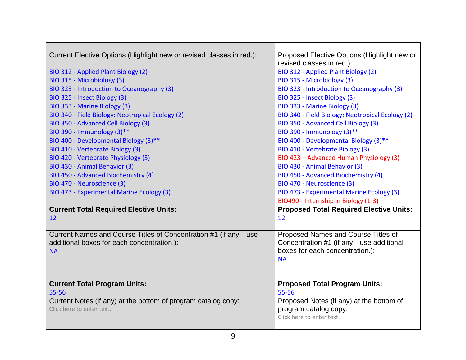| Current Elective Options (Highlight new or revised classes in red.): | Proposed Elective Options (Highlight new or      |
|----------------------------------------------------------------------|--------------------------------------------------|
|                                                                      | revised classes in red.):                        |
| BIO 312 - Applied Plant Biology (2)                                  | BIO 312 - Applied Plant Biology (2)              |
| BIO 315 - Microbiology (3)                                           | BIO 315 - Microbiology (3)                       |
| BIO 323 - Introduction to Oceanography (3)                           | BIO 323 - Introduction to Oceanography (3)       |
| BIO 325 - Insect Biology (3)                                         | BIO 325 - Insect Biology (3)                     |
| BIO 333 - Marine Biology (3)                                         | BIO 333 - Marine Biology (3)                     |
| BIO 340 - Field Biology: Neotropical Ecology (2)                     | BIO 340 - Field Biology: Neotropical Ecology (2) |
| BIO 350 - Advanced Cell Biology (3)                                  | BIO 350 - Advanced Cell Biology (3)              |
| BIO 390 - Immunology (3)**                                           | BIO 390 - Immunology (3)**                       |
| BIO 400 - Developmental Biology (3)**                                | BIO 400 - Developmental Biology (3)**            |
| BIO 410 - Vertebrate Biology (3)                                     | BIO 410 - Vertebrate Biology (3)                 |
| BIO 420 - Vertebrate Physiology (3)                                  | BIO 423 - Advanced Human Physiology (3)          |
| BIO 430 - Animal Behavior (3)                                        | BIO 430 - Animal Behavior (3)                    |
| BIO 450 - Advanced Biochemistry (4)                                  | BIO 450 - Advanced Biochemistry (4)              |
| BIO 470 - Neuroscience (3)                                           | BIO 470 - Neuroscience (3)                       |
| BIO 473 - Experimental Marine Ecology (3)                            | BIO 473 - Experimental Marine Ecology (3)        |
|                                                                      | BIO490 - Internship in Biology (1-3)             |
| <b>Current Total Required Elective Units:</b>                        | <b>Proposed Total Required Elective Units:</b>   |
| 12                                                                   | 12                                               |
|                                                                      |                                                  |
| Current Names and Course Titles of Concentration #1 (if any-use      | Proposed Names and Course Titles of              |
| additional boxes for each concentration.):                           | Concentration #1 (if any-use additional          |
| <b>NA</b>                                                            | boxes for each concentration.):                  |
|                                                                      | <b>NA</b>                                        |
|                                                                      |                                                  |
| <b>Current Total Program Units:</b>                                  | <b>Proposed Total Program Units:</b>             |
| 55-56                                                                | 55-56                                            |
| Current Notes (if any) at the bottom of program catalog copy:        | Proposed Notes (if any) at the bottom of         |
| Click here to enter text.                                            |                                                  |
|                                                                      | program catalog copy:                            |
|                                                                      | Click here to enter text.                        |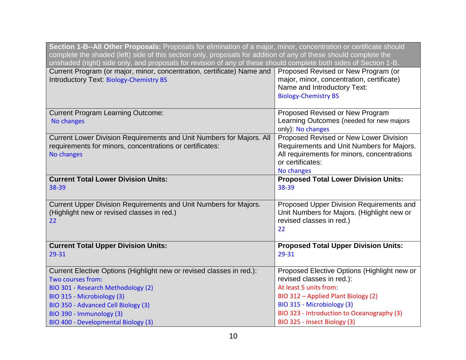| Section 1-B--All Other Proposals: Proposals for elimination of a major, minor, concentration or certificate should<br>complete the shaded (left) side of this section only, proposals for addition of any of these should complete the<br>unshaded (right) side only, and proposals for revision of any of these should complete both sides of Section 1-B. |                                                                                                                                                                      |  |
|-------------------------------------------------------------------------------------------------------------------------------------------------------------------------------------------------------------------------------------------------------------------------------------------------------------------------------------------------------------|----------------------------------------------------------------------------------------------------------------------------------------------------------------------|--|
| Current Program (or major, minor, concentration, certificate) Name and<br>Introductory Text: Biology-Chemistry BS                                                                                                                                                                                                                                           | Proposed Revised or New Program (or<br>major, minor, concentration, certificate)<br>Name and Introductory Text:<br><b>Biology-Chemistry BS</b>                       |  |
| <b>Current Program Learning Outcome:</b><br>No changes                                                                                                                                                                                                                                                                                                      | Proposed Revised or New Program<br>Learning Outcomes (needed for new majors<br>only): No changes                                                                     |  |
| Current Lower Division Requirements and Unit Numbers for Majors. All<br>requirements for minors, concentrations or certificates:<br>No changes                                                                                                                                                                                                              | Proposed Revised or New Lower Division<br>Requirements and Unit Numbers for Majors.<br>All requirements for minors, concentrations<br>or certificates:<br>No changes |  |
| <b>Current Total Lower Division Units:</b><br>38-39                                                                                                                                                                                                                                                                                                         | <b>Proposed Total Lower Division Units:</b><br>38-39                                                                                                                 |  |
| Current Upper Division Requirements and Unit Numbers for Majors.<br>(Highlight new or revised classes in red.)<br>22                                                                                                                                                                                                                                        | Proposed Upper Division Requirements and<br>Unit Numbers for Majors. (Highlight new or<br>revised classes in red.)<br>22                                             |  |
| <b>Current Total Upper Division Units:</b><br>29-31                                                                                                                                                                                                                                                                                                         | <b>Proposed Total Upper Division Units:</b><br>29-31                                                                                                                 |  |
| Current Elective Options (Highlight new or revised classes in red.):<br>Two courses from:<br>BIO 301 - Research Methodology (2)<br>BIO 315 - Microbiology (3)                                                                                                                                                                                               | Proposed Elective Options (Highlight new or<br>revised classes in red.):<br>At least 5 units from:<br>BIO 312 - Applied Plant Biology (2)                            |  |
| BIO 350 - Advanced Cell Biology (3)<br>BIO 390 - Immunology (3)<br>BIO 400 - Developmental Biology (3)                                                                                                                                                                                                                                                      | BIO 315 - Microbiology (3)<br>BIO 323 - Introduction to Oceanography (3)<br>BIO 325 - Insect Biology (3)                                                             |  |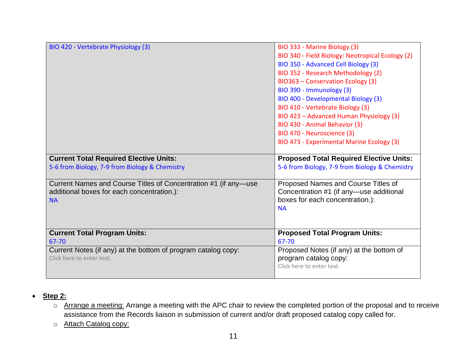| BIO 420 - Vertebrate Physiology (3)                                                                                        | BIO 333 - Marine Biology (3)<br>BIO 340 - Field Biology: Neotropical Ecology (2)<br>BIO 350 - Advanced Cell Biology (3)<br>BIO 352 - Research Methodology (2)<br>BIO363 - Conservation Ecology (3)<br>BIO 390 - Immunology (3)<br>BIO 400 - Developmental Biology (3)<br>BIO 410 - Vertebrate Biology (3)<br>BIO 423 - Advanced Human Physiology (3)<br>BIO 430 - Animal Behavior (3) |
|----------------------------------------------------------------------------------------------------------------------------|---------------------------------------------------------------------------------------------------------------------------------------------------------------------------------------------------------------------------------------------------------------------------------------------------------------------------------------------------------------------------------------|
|                                                                                                                            | BIO 470 - Neuroscience (3)<br>BIO 473 - Experimental Marine Ecology (3)                                                                                                                                                                                                                                                                                                               |
| <b>Current Total Required Elective Units:</b>                                                                              | <b>Proposed Total Required Elective Units:</b>                                                                                                                                                                                                                                                                                                                                        |
| 5-6 from Biology, 7-9 from Biology & Chemistry                                                                             | 5-6 from Biology, 7-9 from Biology & Chemistry                                                                                                                                                                                                                                                                                                                                        |
| Current Names and Course Titles of Concentration #1 (if any—use<br>additional boxes for each concentration.):<br><b>NA</b> | Proposed Names and Course Titles of<br>Concentration #1 (if any-use additional<br>boxes for each concentration.):<br><b>NA</b>                                                                                                                                                                                                                                                        |
| <b>Current Total Program Units:</b><br>67-70                                                                               | <b>Proposed Total Program Units:</b><br>67-70                                                                                                                                                                                                                                                                                                                                         |
| Current Notes (if any) at the bottom of program catalog copy:<br>Click here to enter text.                                 | Proposed Notes (if any) at the bottom of<br>program catalog copy:<br>Click here to enter text.                                                                                                                                                                                                                                                                                        |

- **Step 2:**
	- o Arrange a meeting: Arrange a meeting with the APC chair to review the completed portion of the proposal and to receive assistance from the Records liaison in submission of current and/or draft proposed catalog copy called for.
	- o Attach Catalog copy: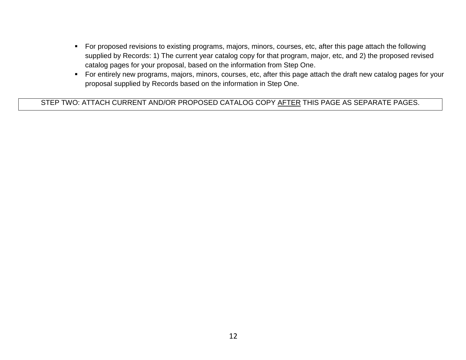- For proposed revisions to existing programs, majors, minors, courses, etc, after this page attach the following supplied by Records: 1) The current year catalog copy for that program, major, etc, and 2) the proposed revised catalog pages for your proposal, based on the information from Step One.
- For entirely new programs, majors, minors, courses, etc, after this page attach the draft new catalog pages for your proposal supplied by Records based on the information in Step One.

STEP TWO: ATTACH CURRENT AND/OR PROPOSED CATALOG COPY AFTER THIS PAGE AS SEPARATE PAGES.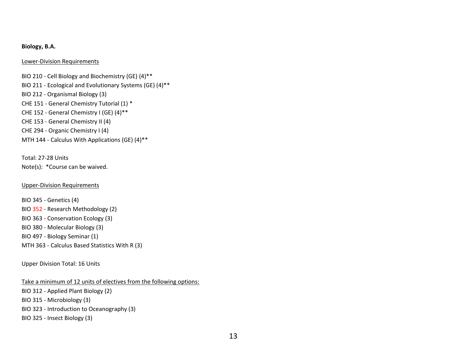#### **Biology, B.A.**

#### Lower-Division Requirements

BIO 210 - Cell Biology and Biochemistry (GE) (4)\*\* BIO 211 - Ecological and Evolutionary Systems (GE) (4)\*\* BIO 212 - Organismal Biology (3) CHE 151 - General Chemistry Tutorial (1) \* CHE 152 - General Chemistry I (GE) (4)\*\* CHE 153 - General Chemistry II (4) CHE 294 - Organic Chemistry I (4) MTH 144 - Calculus With Applications (GE) (4)\*\*

Total: 27-28 Units Note(s): \*Course can be waived.

#### Upper-Division Requirements

BIO 345 - Genetics (4) BIO 352 - Research Methodology (2) BIO 363 - Conservation Ecology (3) BIO 380 - Molecular Biology (3) BIO 497 - Biology Seminar (1) MTH 363 - Calculus Based Statistics With R (3)

Upper Division Total: 16 Units

Take a minimum of 12 units of electives from the following options:

BIO 312 - Applied Plant Biology (2) BIO 315 - Microbiology (3) BIO 323 - Introduction to Oceanography (3) BIO 325 - Insect Biology (3)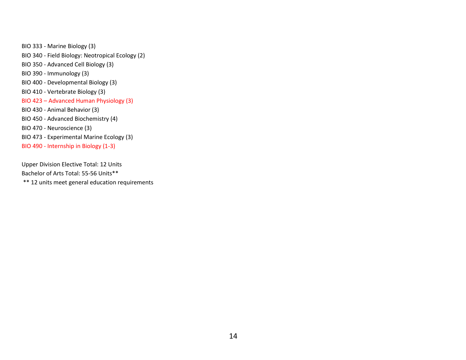BIO 333 - Marine Biology (3) BIO 340 - Field Biology: Neotropical Ecology (2) BIO 350 - Advanced Cell Biology (3) BIO 390 - Immunology (3) BIO 400 - Developmental Biology (3) BIO 410 - Vertebrate Biology (3) BIO 423 – Advanced Human Physiology (3) BIO 430 - Animal Behavior (3) BIO 450 - Advanced Biochemistry (4) BIO 470 - Neuroscience (3) BIO 473 - Experimental Marine Ecology (3) BIO 490 - Internship in Biology (1-3)

Upper Division Elective Total: 12 Units Bachelor of Arts Total: 55-56 Units\*\* \*\* 12 units meet general education requirements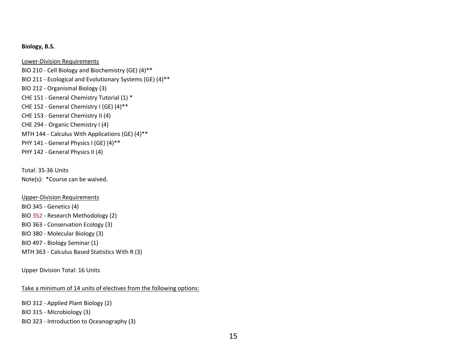#### **Biology, B.S.**

Lower-Division Requirements BIO 210 - Cell Biology and Biochemistry (GE) (4)\*\* BIO 211 - Ecological and Evolutionary Systems (GE) (4)\*\* BIO 212 - Organismal Biology (3) CHE 151 - General Chemistry Tutorial (1) \* CHE 152 - General Chemistry I (GE) (4)\*\* CHE 153 - General Chemistry II (4) CHE 294 - Organic Chemistry I (4) MTH 144 - Calculus With Applications (GE) (4)\*\* PHY 141 - General Physics I (GE) (4)\*\* PHY 142 - General Physics II (4)

Total: 35-36 Units Note(s): \*Course can be waived.

Upper-Division Requirements BIO 345 - Genetics (4) BIO 352 - Research Methodology (2) BIO 363 - Conservation Ecology (3) BIO 380 - Molecular Biology (3) BIO 497 - Biology Seminar (1) MTH 363 - Calculus Based Statistics With R (3)

Upper Division Total: 16 Units

Take a minimum of 14 units of electives from the following options:

BIO 312 - Applied Plant Biology (2)

BIO 315 - Microbiology (3)

BIO 323 - Introduction to Oceanography (3)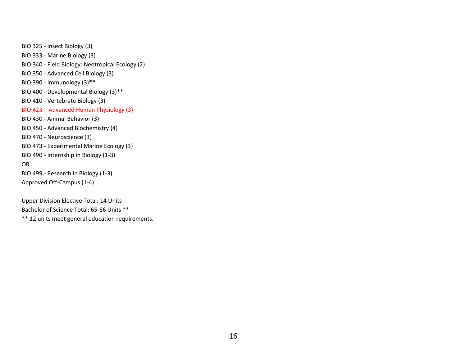BIO 325 - Insect Biology (3) BIO 333 - Marine Biology (3) BIO 340 - Field Biology: Neotropical Ecology (2) BIO 350 - Advanced Cell Biology (3) BIO 390 - Immunology (3)\*\* BIO 400 - Developmental Biology (3)\*\* BIO 410 - Vertebrate Biology (3) BIO 423 – Advanced Human Physiology (3) BIO 430 - Animal Behavior (3) BIO 450 - Advanced Biochemistry (4) BIO 470 - Neuroscience (3) BIO 473 - Experimental Marine Ecology (3) BIO 490 - Internship in Biology (1-3) OR BIO 499 - Research in Biology (1-3) Approved Off-Campus (1-4)

Upper Division Elective Total: 14 Units Bachelor of Science Total: 65-66 Units \*\* \*\* 12 units meet general education requirements.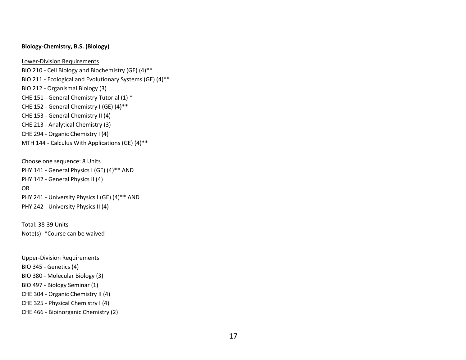#### **Biology-Chemistry, B.S. (Biology)**

Lower-Division Requirements BIO 210 - Cell Biology and Biochemistry (GE) (4)\*\* BIO 211 - Ecological and Evolutionary Systems (GE) (4)\*\* BIO 212 - Organismal Biology (3) CHE 151 - General Chemistry Tutorial (1) \* CHE 152 - General Chemistry I (GE) (4)\*\* CHE 153 - General Chemistry II (4) CHE 213 - Analytical Chemistry (3) CHE 294 - Organic Chemistry I (4) MTH 144 - Calculus With Applications (GE) (4)\*\*

Choose one sequence: 8 Units PHY 141 - General Physics I (GE) (4)\*\* AND PHY 142 - General Physics II (4) OR PHY 241 - University Physics I (GE) (4)\*\* AND PHY 242 - University Physics II (4)

Total: 38-39 Units Note(s): \*Course can be waived

Upper-Division Requirements BIO 345 - Genetics (4) BIO 380 - Molecular Biology (3) BIO 497 - Biology Seminar (1) CHE 304 - Organic Chemistry II (4) CHE 325 - Physical Chemistry I (4) CHE 466 - Bioinorganic Chemistry (2)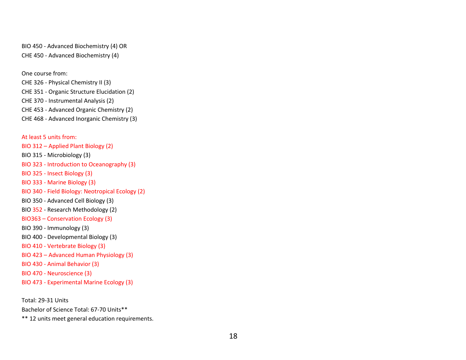BIO 450 - Advanced Biochemistry (4) OR CHE 450 - Advanced Biochemistry (4)

One course from:

CHE 326 - Physical Chemistry II (3) CHE 351 - Organic Structure Elucidation (2) CHE 370 - Instrumental Analysis (2) CHE 453 - Advanced Organic Chemistry (2) CHE 468 - Advanced Inorganic Chemistry (3)

At least 5 units from: BIO 312 – Applied Plant Biology (2) BIO 315 - Microbiology (3) BIO 323 - Introduction to Oceanography (3) BIO 325 - Insect Biology (3) BIO 333 - Marine Biology (3) BIO 340 - Field Biology: Neotropical Ecology (2) BIO 350 - Advanced Cell Biology (3) BIO 352 - Research Methodology (2) BIO363 – Conservation Ecology (3) BIO 390 - Immunology (3) BIO 400 - Developmental Biology (3) BIO 410 - Vertebrate Biology (3) BIO 423 – Advanced Human Physiology (3) BIO 430 - Animal Behavior (3) BIO 470 - Neuroscience (3) BIO 473 - Experimental Marine Ecology (3)

Total: 29-31 Units

Bachelor of Science Total: 67-70 Units\*\*

\*\* 12 units meet general education requirements.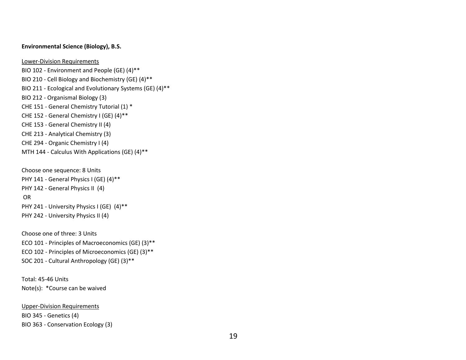#### **Environmental Science (Biology), B.S.**

Lower-Division Requirements

BIO 102 - Environment and People (GE) (4)\*\* BIO 210 - Cell Biology and Biochemistry (GE) (4)\*\* BIO 211 - Ecological and Evolutionary Systems (GE) (4)\*\* BIO 212 - Organismal Biology (3) CHE 151 - General Chemistry Tutorial (1) \* CHE 152 - General Chemistry I (GE) (4)\*\* CHE 153 - General Chemistry II (4) CHE 213 - Analytical Chemistry (3) CHE 294 - Organic Chemistry I (4) MTH 144 - Calculus With Applications (GE) (4)\*\*

Choose one sequence: 8 Units PHY 141 - General Physics I (GE) (4)\*\* PHY 142 - General Physics II (4) OR PHY 241 - University Physics I (GE) (4)\*\* PHY 242 - University Physics II (4)

Choose one of three: 3 Units ECO 101 - Principles of Macroeconomics (GE) (3)\*\* ECO 102 - Principles of Microeconomics (GE) (3)\*\* SOC 201 - Cultural Anthropology (GE) (3)\*\*

Total: 45-46 Units Note(s): \*Course can be waived

Upper-Division Requirements BIO 345 - Genetics (4) BIO 363 - Conservation Ecology (3)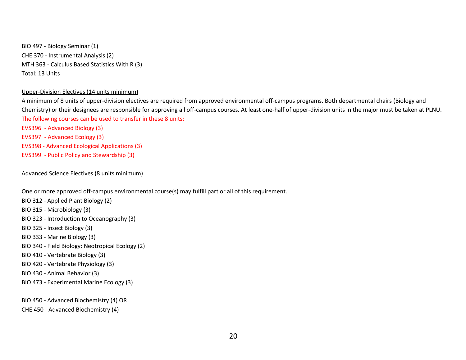BIO 497 - Biology Seminar (1) CHE 370 - Instrumental Analysis (2) MTH 363 - Calculus Based Statistics With R (3) Total: 13 Units

#### Upper-Division Electives (14 units minimum)

A minimum of 8 units of upper-division electives are required from approved environmental off-campus programs. Both departmental chairs (Biology and Chemistry) or their designees are responsible for approving all off-campus courses. At least one-half of upper-division units in the major must be taken at PLNU. The following courses can be used to transfer in these 8 units:

EVS396 - Advanced Biology (3) EVS397 - Advanced Ecology (3) EVS398 - Advanced Ecological Applications (3) EVS399 - Public Policy and Stewardship (3)

Advanced Science Electives (8 units minimum)

One or more approved off-campus environmental course(s) may fulfill part or all of this requirement.

- BIO 312 Applied Plant Biology (2)
- BIO 315 Microbiology (3)
- BIO 323 Introduction to Oceanography (3)
- BIO 325 Insect Biology (3)
- BIO 333 Marine Biology (3)
- BIO 340 Field Biology: Neotropical Ecology (2)
- BIO 410 Vertebrate Biology (3)
- BIO 420 Vertebrate Physiology (3)
- BIO 430 Animal Behavior (3)
- BIO 473 Experimental Marine Ecology (3)

BIO 450 - Advanced Biochemistry (4) OR

CHE 450 - Advanced Biochemistry (4)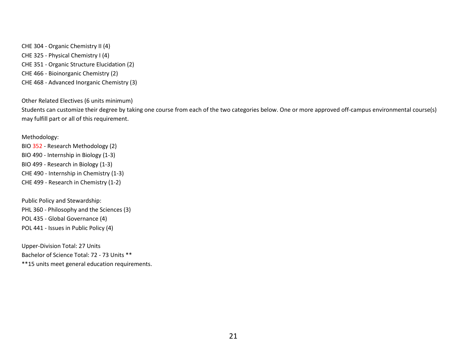CHE 304 - Organic Chemistry II (4) CHE 325 - Physical Chemistry I (4) CHE 351 - Organic Structure Elucidation (2) CHE 466 - Bioinorganic Chemistry (2) CHE 468 - Advanced Inorganic Chemistry (3)

Other Related Electives (6 units minimum)

Students can customize their degree by taking one course from each of the two categories below. One or more approved off-campus environmental course(s) may fulfill part or all of this requirement.

#### Methodology:

BIO 352 - Research Methodology (2) BIO 490 - Internship in Biology (1-3) BIO 499 - Research in Biology (1-3) CHE 490 - Internship in Chemistry (1-3) CHE 499 - Research in Chemistry (1-2)

Public Policy and Stewardship: PHL 360 - Philosophy and the Sciences (3) POL 435 - Global Governance (4) POL 441 - Issues in Public Policy (4)

Upper-Division Total: 27 Units Bachelor of Science Total: 72 - 73 Units \*\*

\*\*15 units meet general education requirements.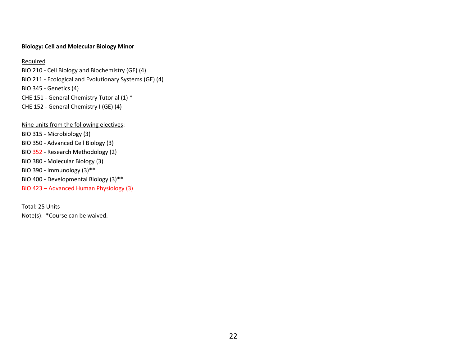#### **Biology: Cell and Molecular Biology Minor**

#### **Required**

BIO 210 - Cell Biology and Biochemistry (GE) (4) BIO 211 - Ecological and Evolutionary Systems (GE) (4) BIO 345 - Genetics (4) CHE 151 - General Chemistry Tutorial (1) \* CHE 152 - General Chemistry I (GE) (4)

Nine units from the following electives: BIO 315 - Microbiology (3) BIO 350 - Advanced Cell Biology (3) BIO 352 - Research Methodology (2) BIO 380 - Molecular Biology (3) BIO 390 - Immunology (3)\*\* BIO 400 - Developmental Biology (3)\*\* BIO 423 – Advanced Human Physiology (3)

Total: 25 Units Note(s): \*Course can be waived.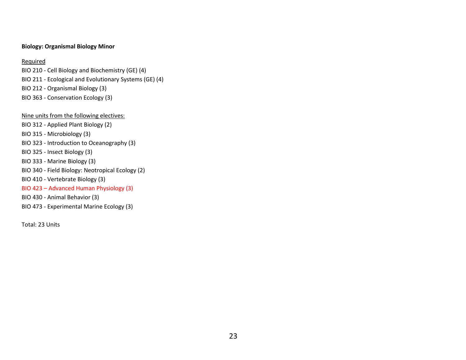#### **Biology: Organismal Biology Minor**

#### **Required**

BIO 210 - Cell Biology and Biochemistry (GE) (4) BIO 211 - Ecological and Evolutionary Systems (GE) (4) BIO 212 - Organismal Biology (3) BIO 363 - Conservation Ecology (3)

#### Nine units from the following electives:

- BIO 312 Applied Plant Biology (2)
- BIO 315 Microbiology (3)
- BIO 323 Introduction to Oceanography (3)
- BIO 325 Insect Biology (3)
- BIO 333 Marine Biology (3)
- BIO 340 Field Biology: Neotropical Ecology (2)
- BIO 410 Vertebrate Biology (3)

#### BIO 423 – Advanced Human Physiology (3)

- BIO 430 Animal Behavior (3)
- BIO 473 Experimental Marine Ecology (3)

Total: 23 Units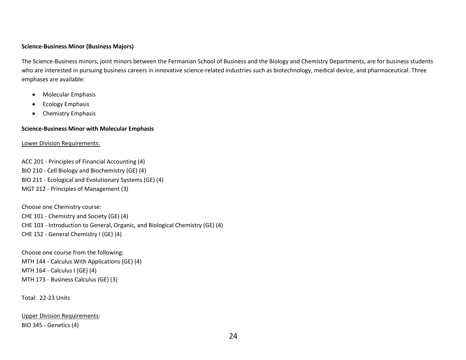#### **Science-Business Minor (Business Majors)**

The Science-Business minors, joint minors between the Fermanian School of Business and the Biology and Chemistry Departments, are for business students who are interested in pursuing business careers in innovative science-related industries such as biotechnology, medical device, and pharmaceutical. Three emphases are available:

- Molecular Emphasis
- **•** Ecology Emphasis
- Chemistry Emphasis

#### **Science-Business Minor with Molecular Emphasis**

#### Lower Division Requirements:

ACC 201 - Principles of Financial Accounting (4) BIO 210 - Cell Biology and Biochemistry (GE) (4) BIO 211 - Ecological and Evolutionary Systems (GE) (4) MGT 212 - Principles of Management (3)

Choose one Chemistry course: CHE 101 - Chemistry and Society (GE) (4) CHE 103 - Introduction to General, Organic, and Biological Chemistry (GE) (4) CHE 152 - General Chemistry I (GE) (4)

Choose one course from the following: MTH 144 - Calculus With Applications (GE) (4) MTH 164 - Calculus I (GE) (4) MTH 173 - Business Calculus (GE) (3)

Total: 22-23 Units

Upper Division Requirements: BIO 345 - Genetics (4)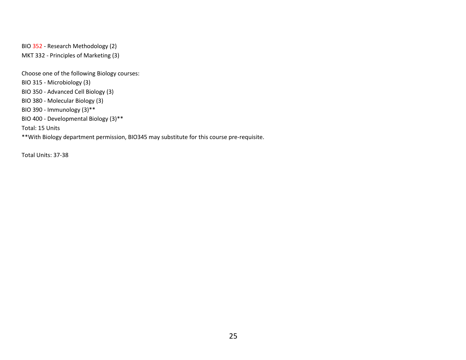BIO 352 - Research Methodology (2) MKT 332 - Principles of Marketing (3)

Choose one of the following Biology courses: BIO 315 - Microbiology (3) BIO 350 - Advanced Cell Biology (3) BIO 380 - Molecular Biology (3) BIO 390 - Immunology (3)\*\* BIO 400 - Developmental Biology (3)\*\* Total: 15 Units \*\*With Biology department permission, BIO345 may substitute for this course pre-requisite.

Total Units: 37-38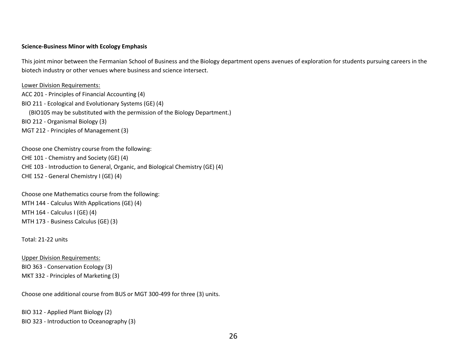#### **Science-Business Minor with Ecology Emphasis**

This joint minor between the Fermanian School of Business and the Biology department opens avenues of exploration for students pursuing careers in the biotech industry or other venues where business and science intersect.

Lower Division Requirements:

ACC 201 - Principles of Financial Accounting (4) BIO 211 - Ecological and Evolutionary Systems (GE) (4) (BIO105 may be substituted with the permission of the Biology Department.) BIO 212 - Organismal Biology (3) MGT 212 - Principles of Management (3)

Choose one Chemistry course from the following: CHE 101 - Chemistry and Society (GE) (4) CHE 103 - Introduction to General, Organic, and Biological Chemistry (GE) (4) CHE 152 - General Chemistry I (GE) (4)

Choose one Mathematics course from the following: MTH 144 - Calculus With Applications (GE) (4) MTH 164 - Calculus I (GE) (4) MTH 173 - Business Calculus (GE) (3)

Total: 21-22 units

Upper Division Requirements: BIO 363 - Conservation Ecology (3) MKT 332 - Principles of Marketing (3)

Choose one additional course from BUS or MGT 300-499 for three (3) units.

BIO 312 - Applied Plant Biology (2) BIO 323 - Introduction to Oceanography (3)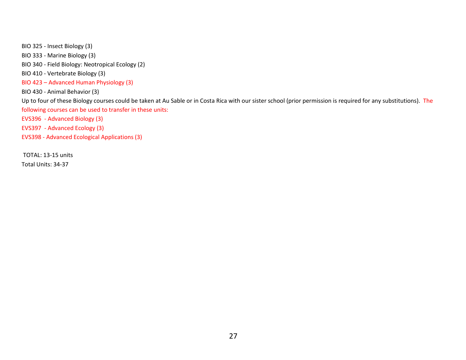BIO 325 - Insect Biology (3) BIO 333 - Marine Biology (3) BIO 340 - Field Biology: Neotropical Ecology (2) BIO 410 - Vertebrate Biology (3) BIO 423 – Advanced Human Physiology (3) BIO 430 - Animal Behavior (3) Up to four of these Biology courses could be taken at Au Sable or in Costa Rica with our sister school (prior permission is required for any substitutions). The following courses can be used to transfer in these units: EVS396 - Advanced Biology (3) EVS397 - Advanced Ecology (3) EVS398 - Advanced Ecological Applications (3)

TOTAL: 13-15 units

Total Units: 34-37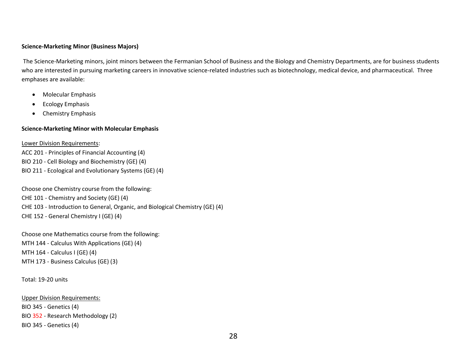#### **Science-Marketing Minor (Business Majors)**

The Science-Marketing minors, joint minors between the Fermanian School of Business and the Biology and Chemistry Departments, are for business students who are interested in pursuing marketing careers in innovative science-related industries such as biotechnology, medical device, and pharmaceutical. Three emphases are available:

- Molecular Emphasis
- **•** Ecology Emphasis
- Chemistry Emphasis

#### **Science-Marketing Minor with Molecular Emphasis**

Lower Division Requirements:

ACC 201 - Principles of Financial Accounting (4) BIO 210 - Cell Biology and Biochemistry (GE) (4) BIO 211 - Ecological and Evolutionary Systems (GE) (4)

Choose one Chemistry course from the following: CHE 101 - Chemistry and Society (GE) (4) CHE 103 - Introduction to General, Organic, and Biological Chemistry (GE) (4) CHE 152 - General Chemistry I (GE) (4)

Choose one Mathematics course from the following: MTH 144 - Calculus With Applications (GE) (4) MTH 164 - Calculus I (GE) (4) MTH 173 - Business Calculus (GE) (3)

Total: 19-20 units

Upper Division Requirements: BIO 345 - Genetics (4) BIO 352 - Research Methodology (2) BIO 345 - Genetics (4)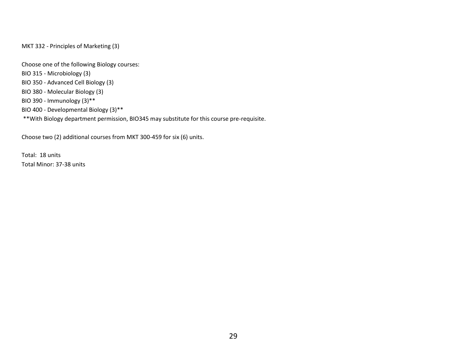MKT 332 - Principles of Marketing (3)

Choose one of the following Biology courses:

- BIO 315 Microbiology (3)
- BIO 350 Advanced Cell Biology (3)
- BIO 380 Molecular Biology (3)
- BIO 390 Immunology (3)\*\*
- BIO 400 Developmental Biology (3)\*\*
- \*\*With Biology department permission, BIO345 may substitute for this course pre-requisite.

Choose two (2) additional courses from MKT 300-459 for six (6) units.

Total: 18 units Total Minor: 37-38 units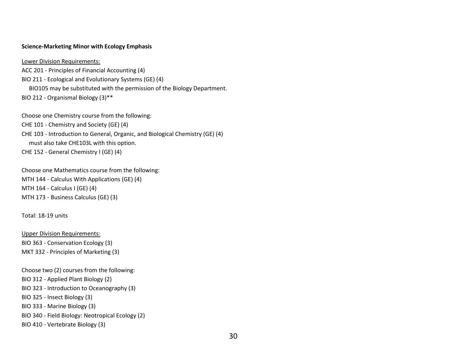#### **Science-Marketing Minor with Ecology Emphasis**

Lower Division Requirements: ACC 201 - Principles of Financial Accounting (4) BIO 211 - Ecological and Evolutionary Systems (GE) (4) BIO105 may be substituted with the permission of the Biology Department. BIO 212 - Organismal Biology (3)\*\*

Choose one Chemistry course from the following: CHE 101 - Chemistry and Society (GE) (4) CHE 103 - Introduction to General, Organic, and Biological Chemistry (GE) (4) must also take CHE103L with this option. CHE 152 - General Chemistry I (GE) (4)

Choose one Mathematics course from the following: MTH 144 - Calculus With Applications (GE) (4) MTH 164 - Calculus I (GE) (4) MTH 173 - Business Calculus (GE) (3)

Total: 18-19 units

Upper Division Requirements: BIO 363 - Conservation Ecology (3) MKT 332 - Principles of Marketing (3)

Choose two (2) courses from the following: BIO 312 - Applied Plant Biology (2) BIO 323 - Introduction to Oceanography (3) BIO 325 - Insect Biology (3) BIO 333 - Marine Biology (3) BIO 340 - Field Biology: Neotropical Ecology (2) BIO 410 - Vertebrate Biology (3)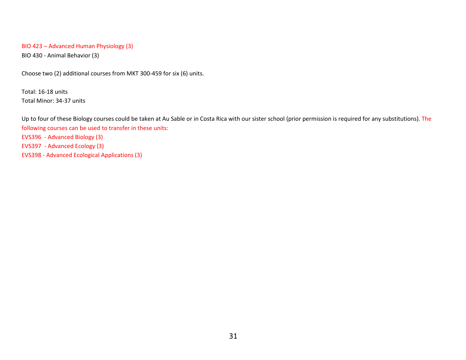#### BIO 423 – Advanced Human Physiology (3)

BIO 430 - Animal Behavior (3)

Choose two (2) additional courses from MKT 300-459 for six (6) units.

Total: 16-18 units Total Minor: 34-37 units

Up to four of these Biology courses could be taken at Au Sable or in Costa Rica with our sister school (prior permission is required for any substitutions). The following courses can be used to transfer in these units: EVS396 - Advanced Biology (3) EVS397 - Advanced Ecology (3) EVS398 - Advanced Ecological Applications (3)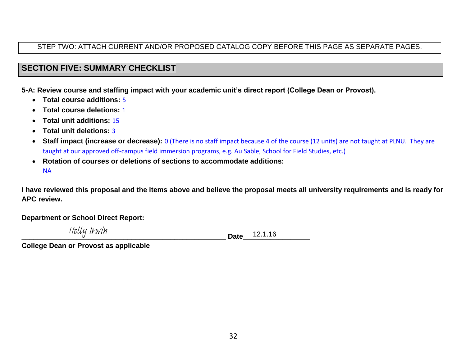## STEP TWO: ATTACH CURRENT AND/OR PROPOSED CATALOG COPY BEFORE THIS PAGE AS SEPARATE PAGES.

## **SECTION FIVE: SUMMARY CHECKLIST**

**5-A: Review course and staffing impact with your academic unit's direct report (College Dean or Provost).**

- **Total course additions:** 5
- **Total course deletions:** 1
- **Total unit additions:** 15
- **Total unit deletions:** 3
- **Staff impact (increase or decrease):** 0 (There is no staff impact because 4 of the course (12 units) are not taught at PLNU. They are taught at our approved off-campus field immersion programs, e.g. Au Sable, School for Field Studies, etc.)
- **Rotation of courses or deletions of sections to accommodate additions:** NA

**I have reviewed this proposal and the items above and believe the proposal meets all university requirements and is ready for APC review.**

**Department or School Direct Report:**

Holly Irwin

**\_\_\_\_\_\_\_\_\_\_\_\_\_\_\_\_\_\_\_\_\_\_\_\_\_\_\_\_\_\_\_\_\_\_\_\_\_\_\_\_\_\_\_\_\_\_\_\_\_\_\_\_ Date\_\_\_\_\_\_\_\_\_\_\_\_\_\_\_\_\_** 12.1.16

**College Dean or Provost as applicable**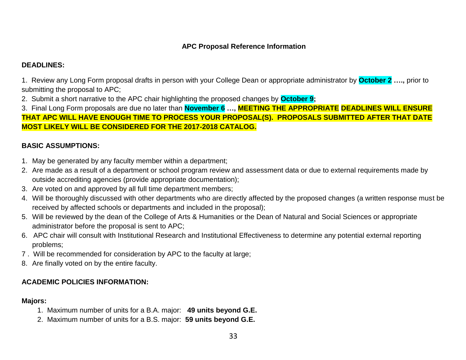## **APC Proposal Reference Information**

## **DEADLINES:**

1. Review any Long Form proposal drafts in person with your College Dean or appropriate administrator by **October 2 ….,** prior to submitting the proposal to APC;

2. Submit a short narrative to the APC chair highlighting the proposed changes by **October 9;**

3. Final Long Form proposals are due no later than **November 6 …, MEETING THE APPROPRIATE DEADLINES WILL ENSURE THAT APC WILL HAVE ENOUGH TIME TO PROCESS YOUR PROPOSAL(S). PROPOSALS SUBMITTED AFTER THAT DATE MOST LIKELY WILL BE CONSIDERED FOR THE 2017-2018 CATALOG.**

## **BASIC ASSUMPTIONS:**

- 1. May be generated by any faculty member within a department;
- 2. Are made as a result of a department or school program review and assessment data or due to external requirements made by outside accrediting agencies (provide appropriate documentation);
- 3. Are voted on and approved by all full time department members;
- 4. Will be thoroughly discussed with other departments who are directly affected by the proposed changes (a written response must be received by affected schools or departments and included in the proposal);
- 5. Will be reviewed by the dean of the College of Arts & Humanities or the Dean of Natural and Social Sciences or appropriate administrator before the proposal is sent to APC;
- 6. APC chair will consult with Institutional Research and Institutional Effectiveness to determine any potential external reporting problems;
- 7 . Will be recommended for consideration by APC to the faculty at large;
- 8. Are finally voted on by the entire faculty.

## **ACADEMIC POLICIES INFORMATION:**

### **Majors:**

- 1. Maximum number of units for a B.A. major: **49 units beyond G.E.**
- 2. Maximum number of units for a B.S. major: **59 units beyond G.E.**